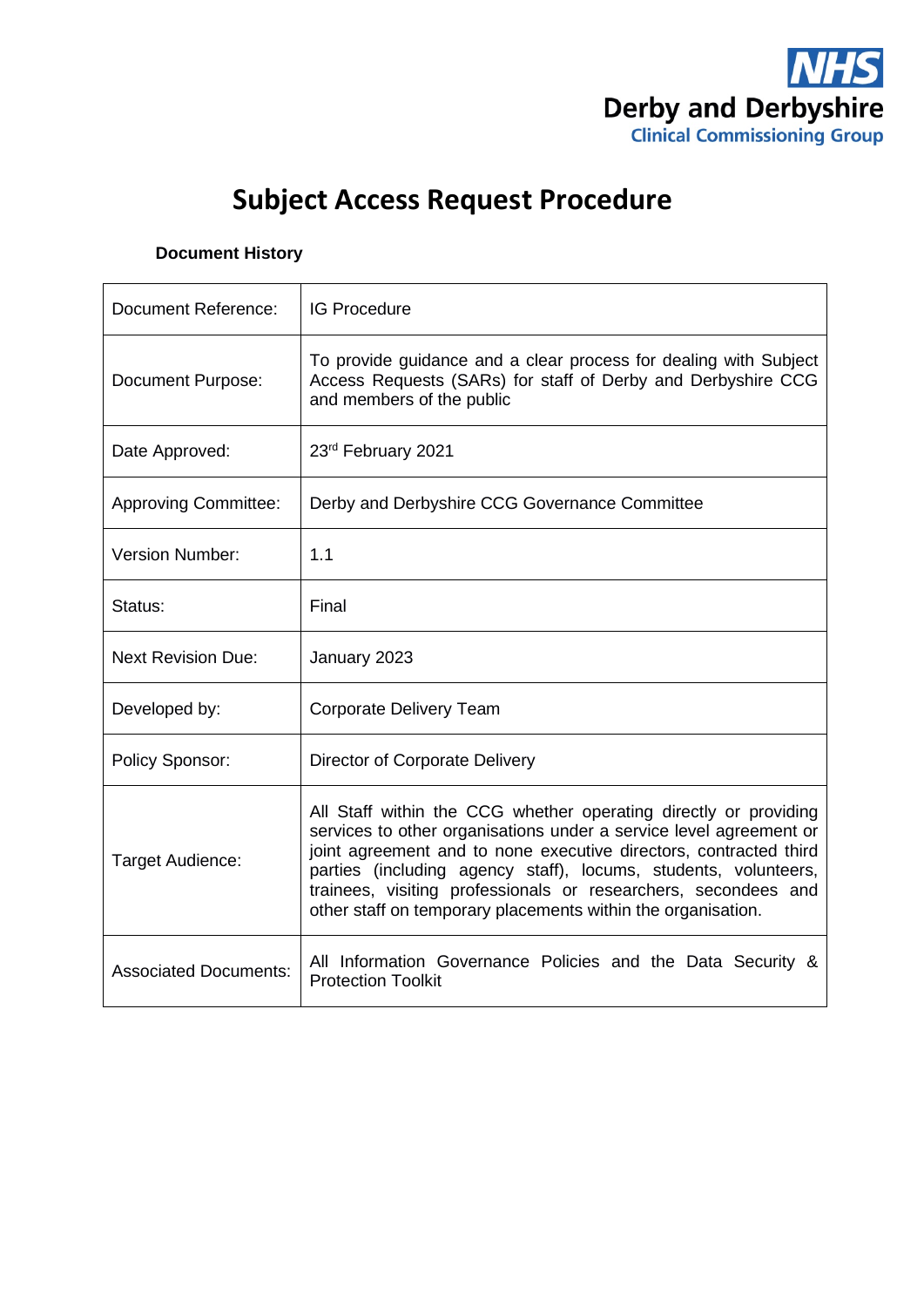

# **Subject Access Request Procedure**

### **Document History**

| Document Reference:          | <b>IG Procedure</b>                                                                                                                                                                                                                                                                                                                                                                                              |
|------------------------------|------------------------------------------------------------------------------------------------------------------------------------------------------------------------------------------------------------------------------------------------------------------------------------------------------------------------------------------------------------------------------------------------------------------|
| Document Purpose:            | To provide guidance and a clear process for dealing with Subject<br>Access Requests (SARs) for staff of Derby and Derbyshire CCG<br>and members of the public                                                                                                                                                                                                                                                    |
| Date Approved:               | 23rd February 2021                                                                                                                                                                                                                                                                                                                                                                                               |
| <b>Approving Committee:</b>  | Derby and Derbyshire CCG Governance Committee                                                                                                                                                                                                                                                                                                                                                                    |
| <b>Version Number:</b>       | 1.1                                                                                                                                                                                                                                                                                                                                                                                                              |
| Status:                      | Final                                                                                                                                                                                                                                                                                                                                                                                                            |
| <b>Next Revision Due:</b>    | January 2023                                                                                                                                                                                                                                                                                                                                                                                                     |
| Developed by:                | <b>Corporate Delivery Team</b>                                                                                                                                                                                                                                                                                                                                                                                   |
| Policy Sponsor:              | Director of Corporate Delivery                                                                                                                                                                                                                                                                                                                                                                                   |
| Target Audience:             | All Staff within the CCG whether operating directly or providing<br>services to other organisations under a service level agreement or<br>joint agreement and to none executive directors, contracted third<br>parties (including agency staff), locums, students, volunteers,<br>trainees, visiting professionals or researchers, secondees and<br>other staff on temporary placements within the organisation. |
| <b>Associated Documents:</b> | All Information Governance Policies and the Data Security &<br><b>Protection Toolkit</b>                                                                                                                                                                                                                                                                                                                         |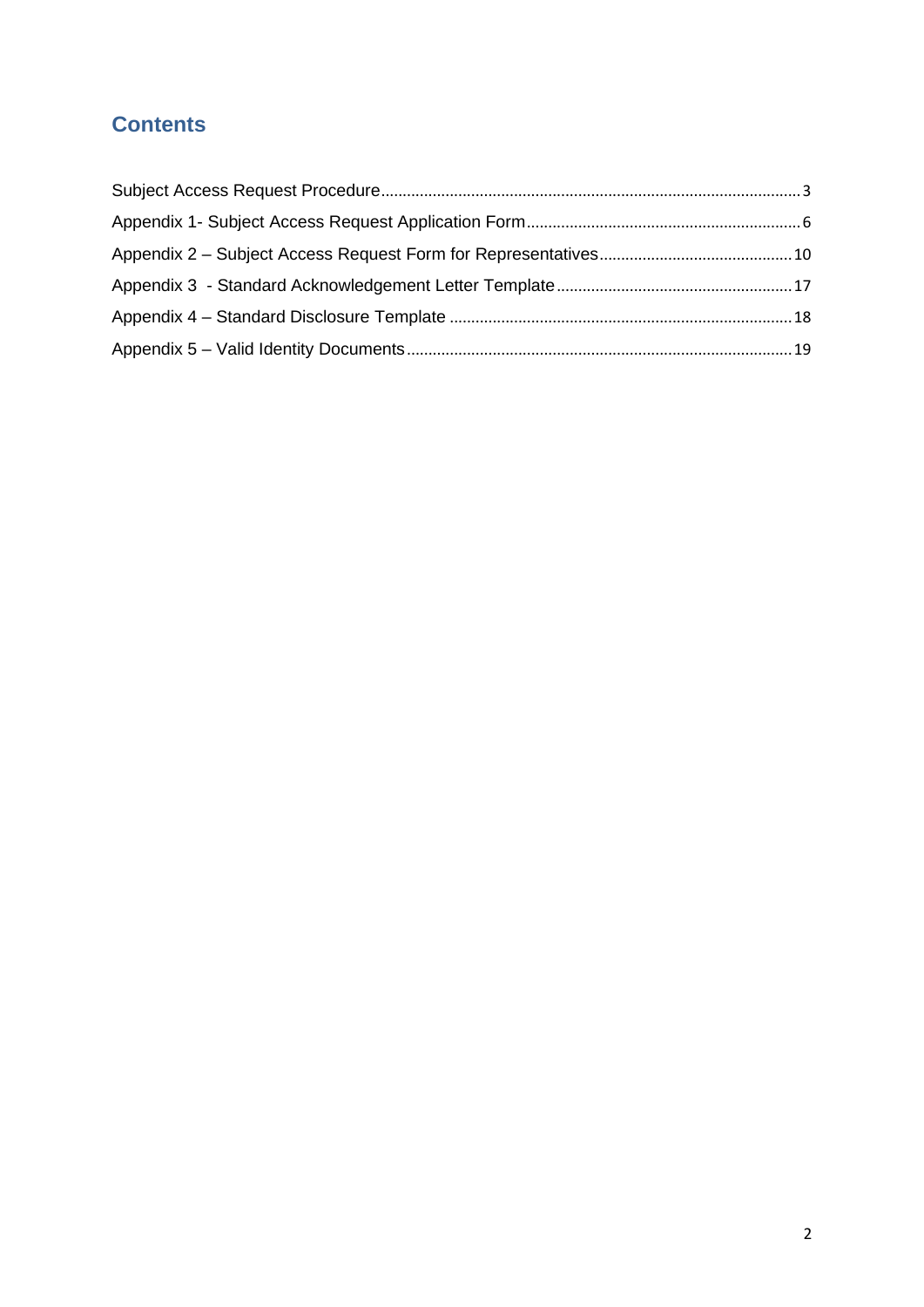# **Contents**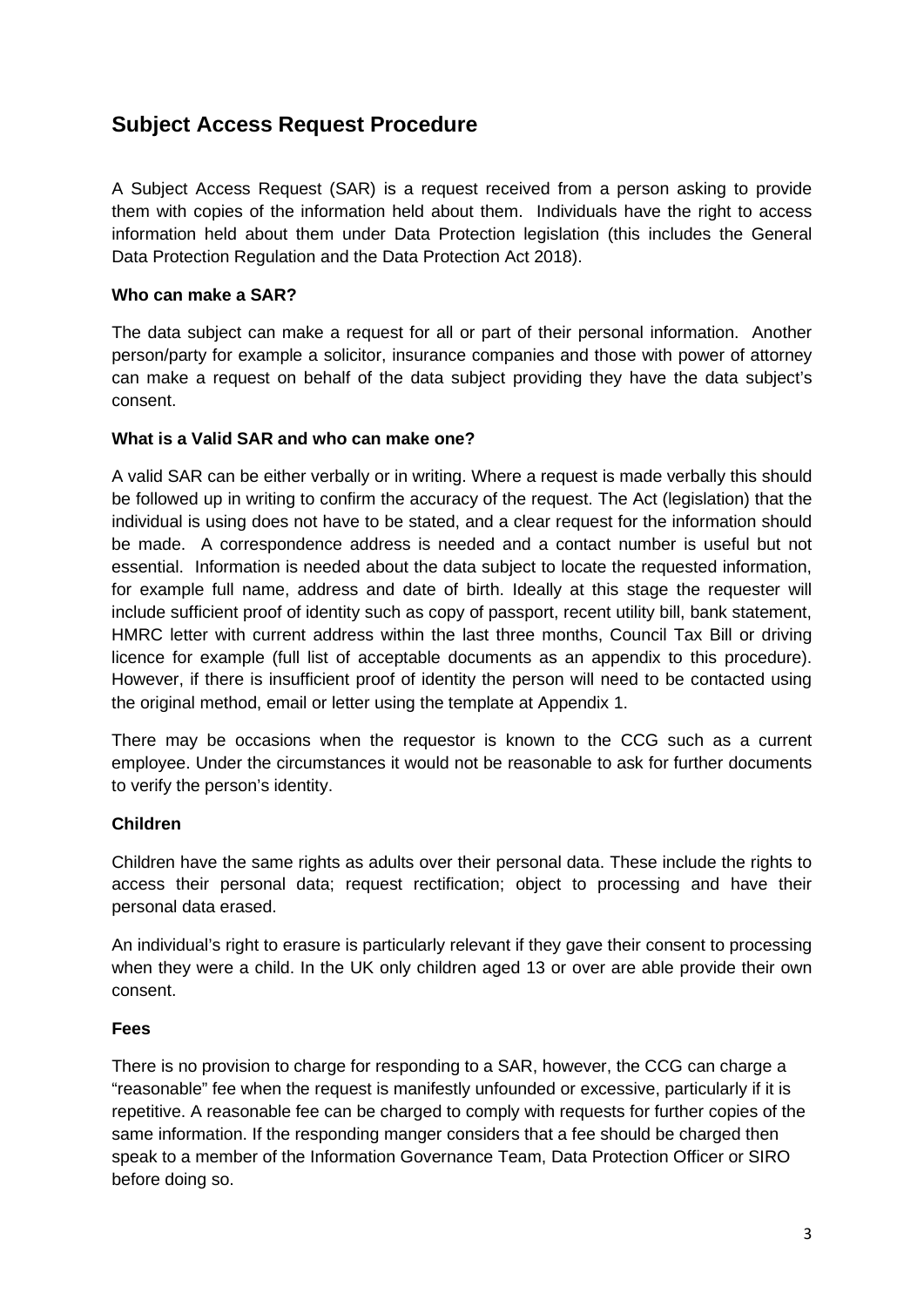# <span id="page-2-0"></span>**Subject Access Request Procedure**

A Subject Access Request (SAR) is a request received from a person asking to provide them with copies of the information held about them. Individuals have the right to access information held about them under Data Protection legislation (this includes the General Data Protection Regulation and the Data Protection Act 2018).

#### **Who can make a SAR?**

The data subject can make a request for all or part of their personal information. Another person/party for example a solicitor, insurance companies and those with power of attorney can make a request on behalf of the data subject providing they have the data subject's consent.

#### **What is a Valid SAR and who can make one?**

A valid SAR can be either verbally or in writing. Where a request is made verbally this should be followed up in writing to confirm the accuracy of the request. The Act (legislation) that the individual is using does not have to be stated, and a clear request for the information should be made. A correspondence address is needed and a contact number is useful but not essential. Information is needed about the data subject to locate the requested information, for example full name, address and date of birth. Ideally at this stage the requester will include sufficient proof of identity such as copy of passport, recent utility bill, bank statement, HMRC letter with current address within the last three months, Council Tax Bill or driving licence for example (full list of acceptable documents as an appendix to this procedure). However, if there is insufficient proof of identity the person will need to be contacted using the original method, email or letter using the template at Appendix 1.

There may be occasions when the requestor is known to the CCG such as a current employee. Under the circumstances it would not be reasonable to ask for further documents to verify the person's identity.

#### **Children**

Children have the same rights as adults over their personal data. These include the rights to access their personal data; request rectification; object to processing and have their personal data erased.

An individual's right to erasure is particularly relevant if they gave their consent to processing when they were a child. In the UK only children aged 13 or over are able provide their own consent.

#### **Fees**

There is no provision to charge for responding to a SAR, however, the CCG can charge a "reasonable" fee when the request is manifestly unfounded or excessive, particularly if it is repetitive. A reasonable fee can be charged to comply with requests for further copies of the same information. If the responding manger considers that a fee should be charged then speak to a member of the Information Governance Team, Data Protection Officer or SIRO before doing so.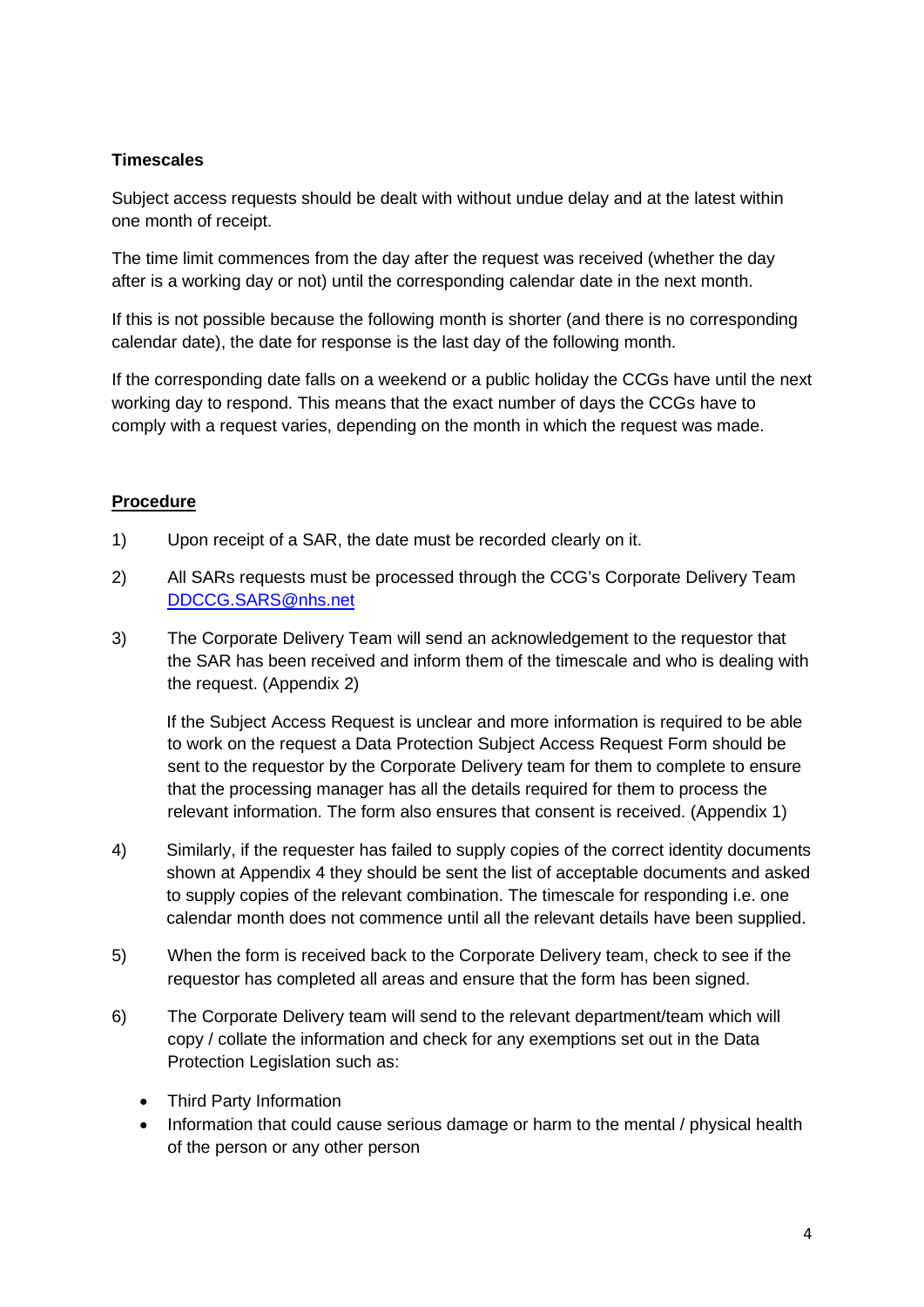### **Timescales**

Subject access requests should be dealt with without undue delay and at the latest within one month of receipt.

The time limit commences from the day after the request was received (whether the day after is a working day or not) until the corresponding calendar date in the next month.

If this is not possible because the following month is shorter (and there is no corresponding calendar date), the date for response is the last day of the following month.

If the corresponding date falls on a weekend or a public holiday the CCGs have until the next working day to respond. This means that the exact number of days the CCGs have to comply with a request varies, depending on the month in which the request was made.

### **Procedure**

- 1) Upon receipt of a SAR, the date must be recorded clearly on it.
- 2) All SARs requests must be processed through the CCG's Corporate Delivery Team [DDCCG.SARS@nhs.net](mailto:DDCCG.SARS@nhs.net)
- 3) The Corporate Delivery Team will send an acknowledgement to the requestor that the SAR has been received and inform them of the timescale and who is dealing with the request. (Appendix 2)

If the Subject Access Request is unclear and more information is required to be able to work on the request a Data Protection Subject Access Request Form should be sent to the requestor by the Corporate Delivery team for them to complete to ensure that the processing manager has all the details required for them to process the relevant information. The form also ensures that consent is received. (Appendix 1)

- 4) Similarly, if the requester has failed to supply copies of the correct identity documents shown at Appendix 4 they should be sent the list of acceptable documents and asked to supply copies of the relevant combination. The timescale for responding i.e. one calendar month does not commence until all the relevant details have been supplied.
- 5) When the form is received back to the Corporate Delivery team, check to see if the requestor has completed all areas and ensure that the form has been signed.
- 6) The Corporate Delivery team will send to the relevant department/team which will copy / collate the information and check for any exemptions set out in the Data Protection Legislation such as:
	- Third Party Information
	- Information that could cause serious damage or harm to the mental / physical health of the person or any other person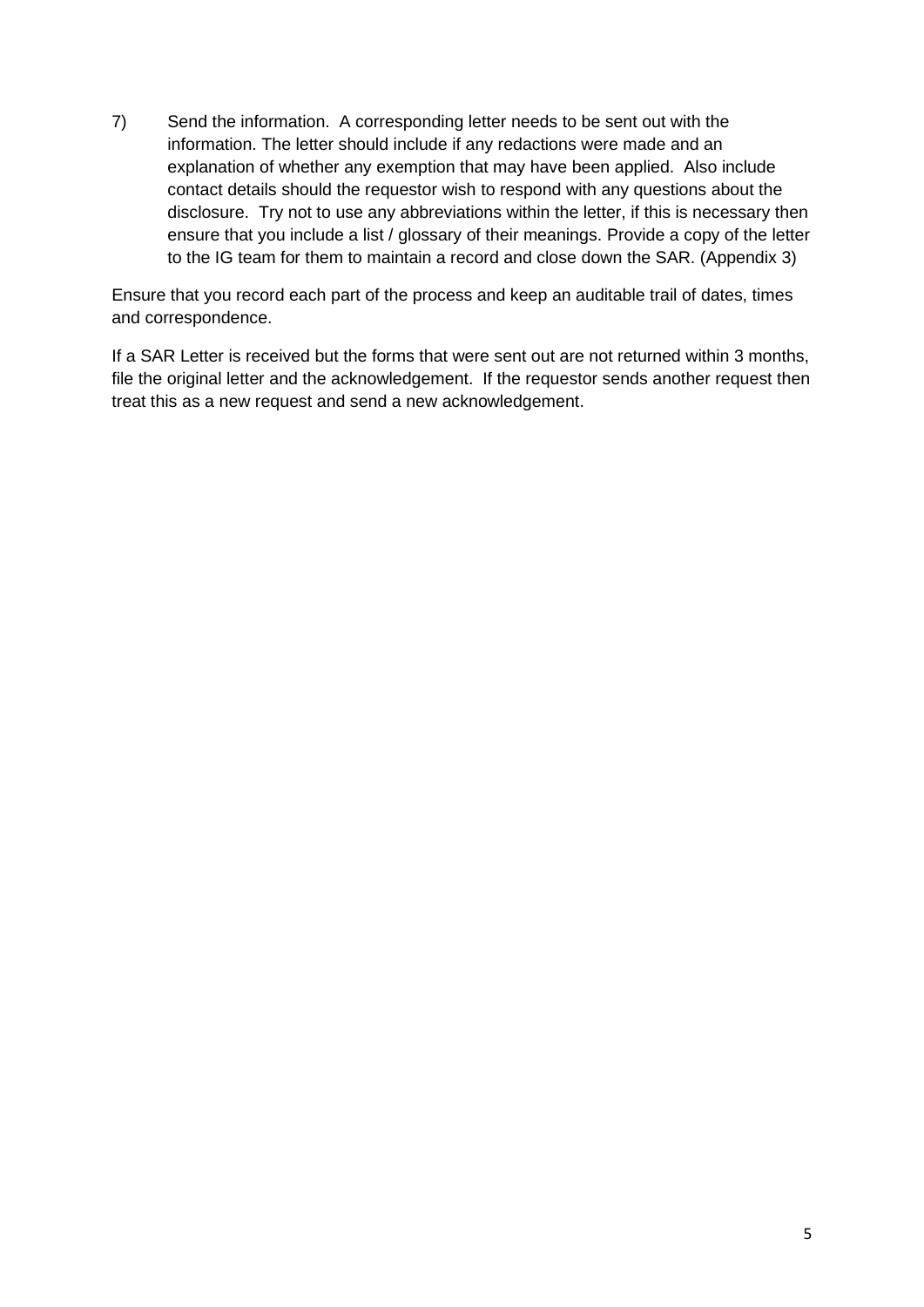7) Send the information. A corresponding letter needs to be sent out with the information. The letter should include if any redactions were made and an explanation of whether any exemption that may have been applied. Also include contact details should the requestor wish to respond with any questions about the disclosure. Try not to use any abbreviations within the letter, if this is necessary then ensure that you include a list / glossary of their meanings. Provide a copy of the letter to the IG team for them to maintain a record and close down the SAR. (Appendix 3)

Ensure that you record each part of the process and keep an auditable trail of dates, times and correspondence.

If a SAR Letter is received but the forms that were sent out are not returned within 3 months, file the original letter and the acknowledgement. If the requestor sends another request then treat this as a new request and send a new acknowledgement.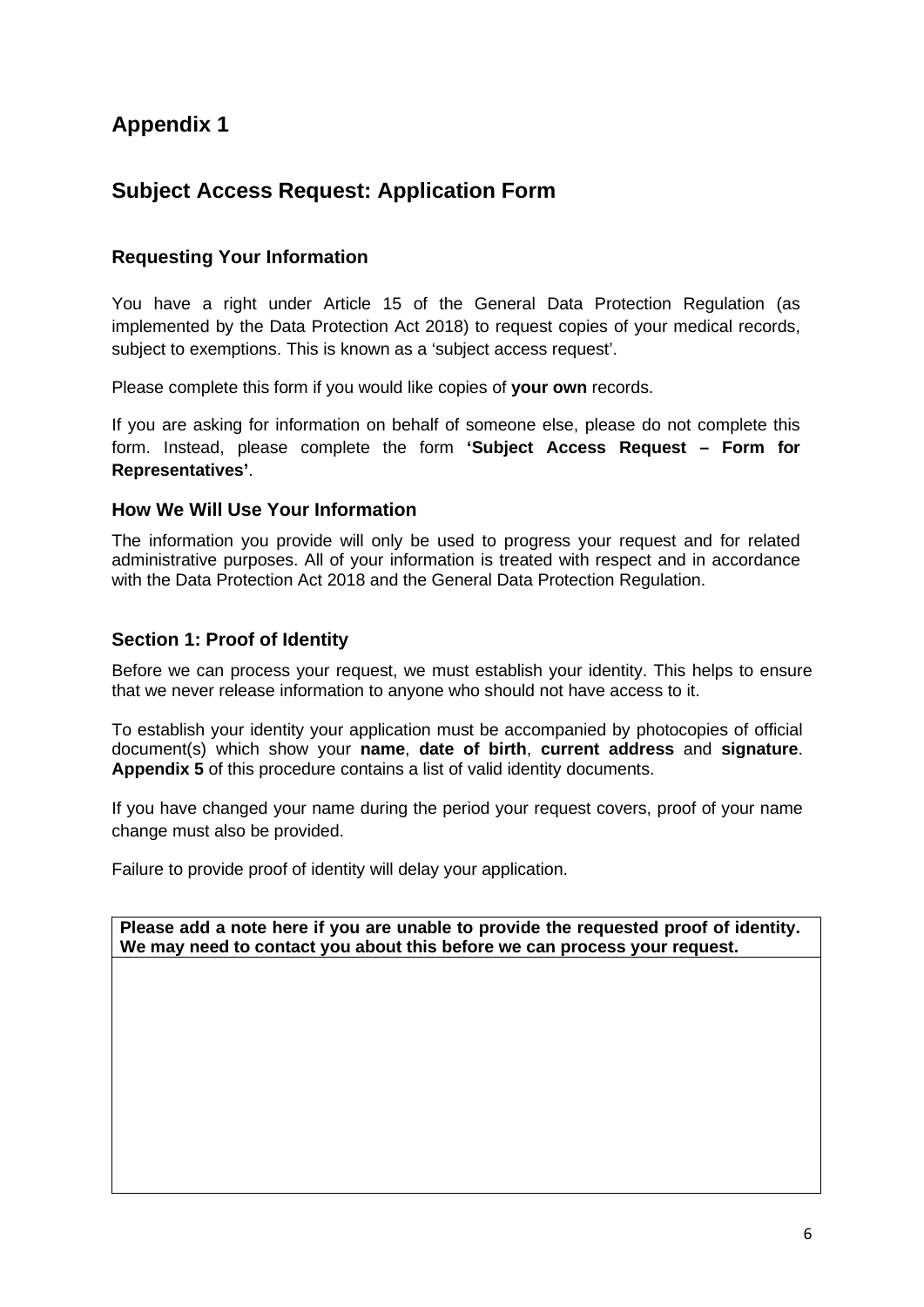# <span id="page-5-0"></span>**Subject Access Request: Application Form**

### **Requesting Your Information**

You have a right under Article 15 of the General Data Protection Regulation (as implemented by the Data Protection Act 2018) to request copies of your medical records, subject to exemptions. This is known as a 'subject access request'.

Please complete this form if you would like copies of **your own** records.

If you are asking for information on behalf of someone else, please do not complete this form. Instead, please complete the form **'Subject Access Request – Form for Representatives'**.

#### **How We Will Use Your Information**

The information you provide will only be used to progress your request and for related administrative purposes. All of your information is treated with respect and in accordance with the Data Protection Act 2018 and the General Data Protection Regulation.

#### **Section 1: Proof of Identity**

Before we can process your request, we must establish your identity. This helps to ensure that we never release information to anyone who should not have access to it.

To establish your identity your application must be accompanied by photocopies of official document(s) which show your **name**, **date of birth**, **current address** and **signature**. **Appendix 5** of this procedure contains a list of valid identity documents.

If you have changed your name during the period your request covers, proof of your name change must also be provided.

Failure to provide proof of identity will delay your application.

**Please add a note here if you are unable to provide the requested proof of identity. We may need to contact you about this before we can process your request.**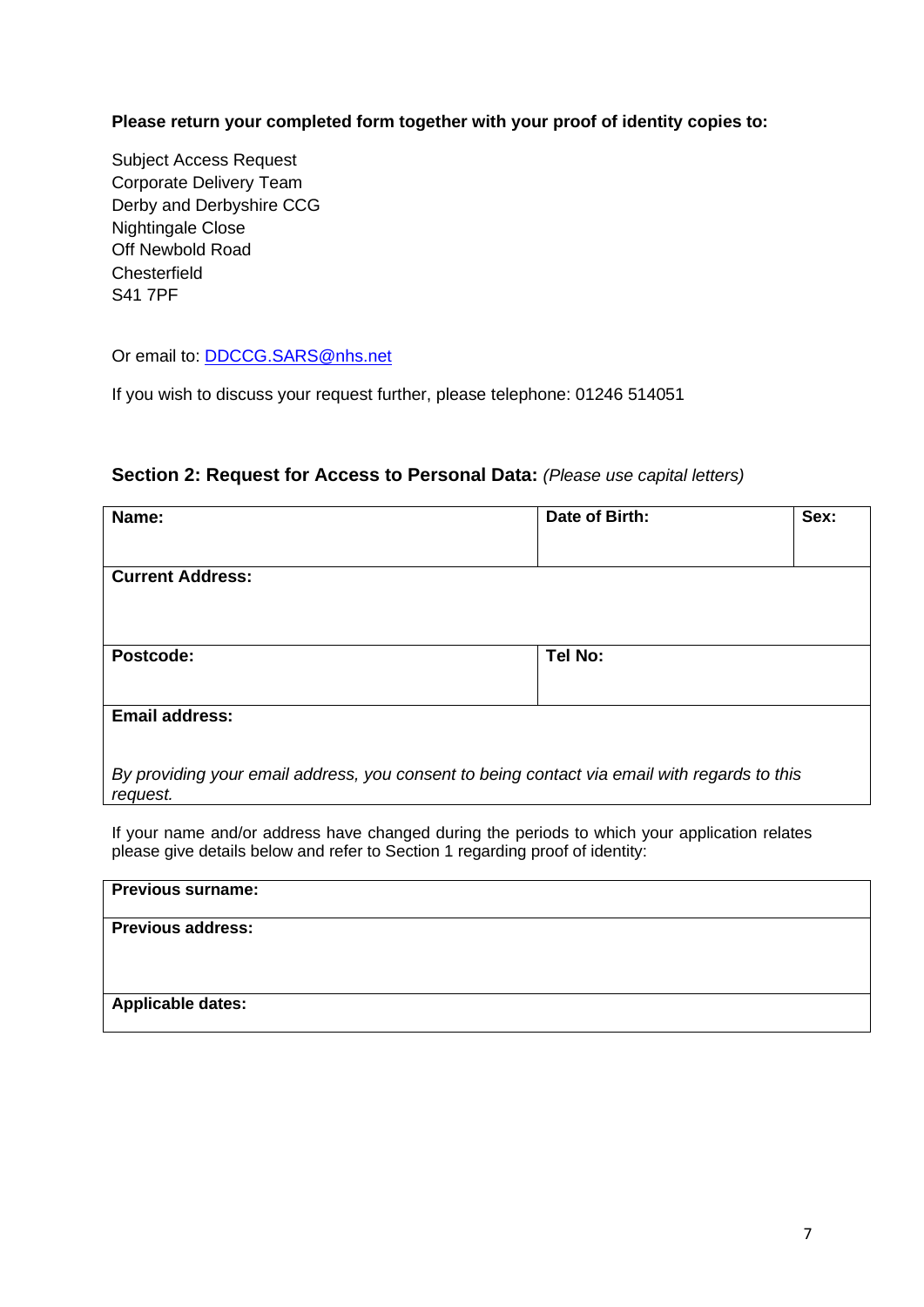**Please return your completed form together with your proof of identity copies to:**

Subject Access Request Corporate Delivery Team Derby and Derbyshire CCG Nightingale Close Off Newbold Road **Chesterfield** S41 7PF

Or email to: [DDCCG.SARS@nhs.net](mailto:DDCCG.SARS@nhs.net)

If you wish to discuss your request further, please telephone: 01246 514051

#### **Section 2: Request for Access to Personal Data:** *(Please use capital letters)*

| Name:                                                                                                    | Date of Birth: | Sex: |  |
|----------------------------------------------------------------------------------------------------------|----------------|------|--|
|                                                                                                          |                |      |  |
| <b>Current Address:</b>                                                                                  |                |      |  |
|                                                                                                          |                |      |  |
| Postcode:                                                                                                | Tel No:        |      |  |
|                                                                                                          |                |      |  |
| <b>Email address:</b>                                                                                    |                |      |  |
|                                                                                                          |                |      |  |
| By providing your email address, you consent to being contact via email with regards to this<br>request. |                |      |  |

If your name and/or address have changed during the periods to which your application relates please give details below and refer to Section 1 regarding proof of identity:

| <b>Previous surname:</b> |  |
|--------------------------|--|
| <b>Previous address:</b> |  |
|                          |  |
|                          |  |
| Applicable dates:        |  |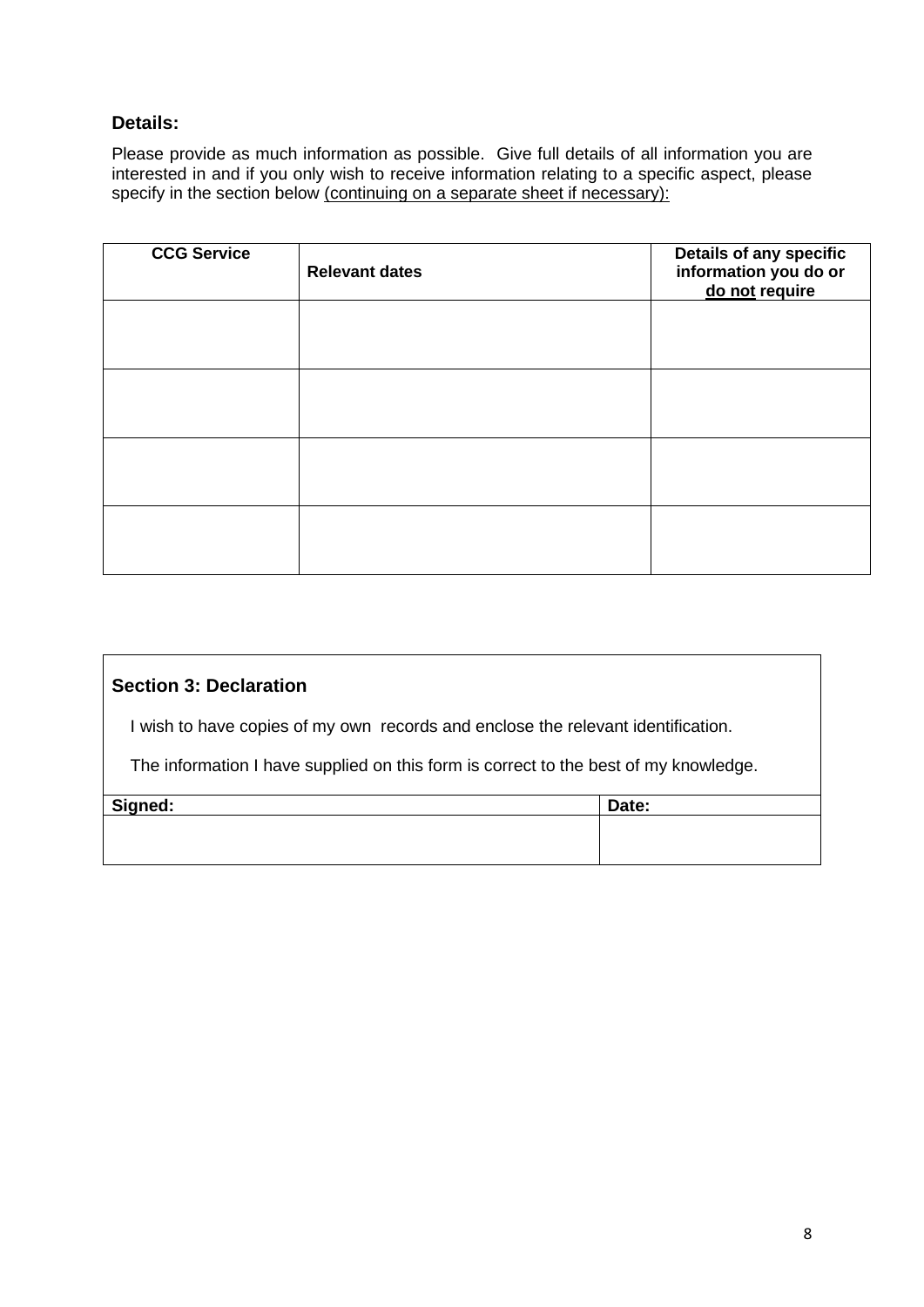### **Details:**

Please provide as much information as possible. Give full details of all information you are interested in and if you only wish to receive information relating to a specific aspect, please specify in the section below (continuing on a separate sheet if necessary):

| <b>CCG Service</b> | <b>Relevant dates</b> | <b>Details of any specific</b><br>information you do or<br>do not require |
|--------------------|-----------------------|---------------------------------------------------------------------------|
|                    |                       |                                                                           |
|                    |                       |                                                                           |
|                    |                       |                                                                           |
|                    |                       |                                                                           |

### **Section 3: Declaration**

I wish to have copies of my own records and enclose the relevant identification.

The information I have supplied on this form is correct to the best of my knowledge.

| Signed: | Date: |
|---------|-------|
|         |       |
|         |       |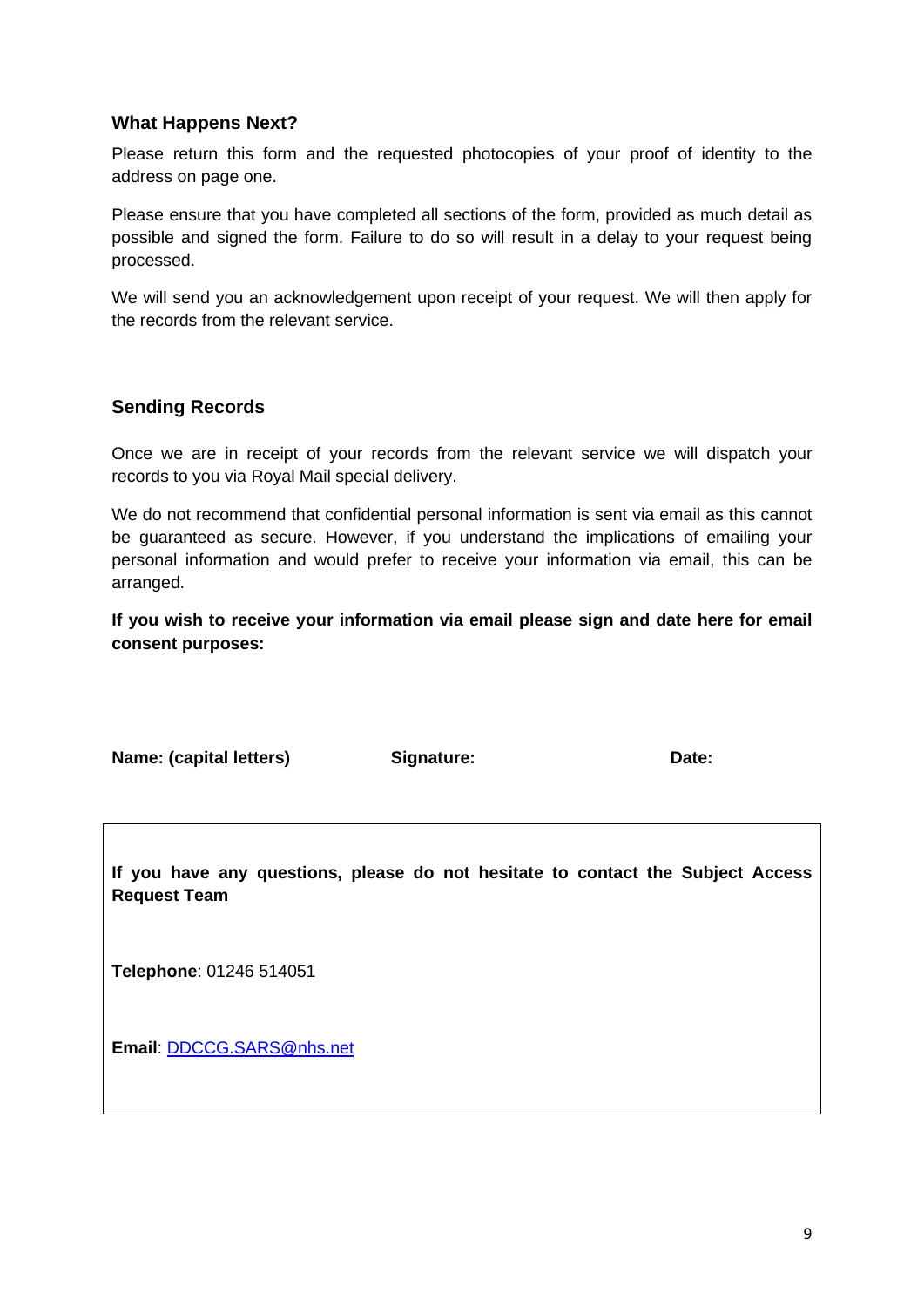#### **What Happens Next?**

Please return this form and the requested photocopies of your proof of identity to the address on page one.

Please ensure that you have completed all sections of the form, provided as much detail as possible and signed the form. Failure to do so will result in a delay to your request being processed.

We will send you an acknowledgement upon receipt of your request. We will then apply for the records from the relevant service.

#### **Sending Records**

Once we are in receipt of your records from the relevant service we will dispatch your records to you via Royal Mail special delivery.

We do not recommend that confidential personal information is sent via email as this cannot be guaranteed as secure. However, if you understand the implications of emailing your personal information and would prefer to receive your information via email, this can be arranged.

**If you wish to receive your information via email please sign and date here for email consent purposes:**

**Name: (capital letters) Signature: Date:**

**If you have any questions, please do not hesitate to contact the Subject Access Request Team**

**Telephone**: 01246 514051

**Email**: [DDCCG.SARS@nhs.net](mailto:DDCCG.SARS@nhs.net)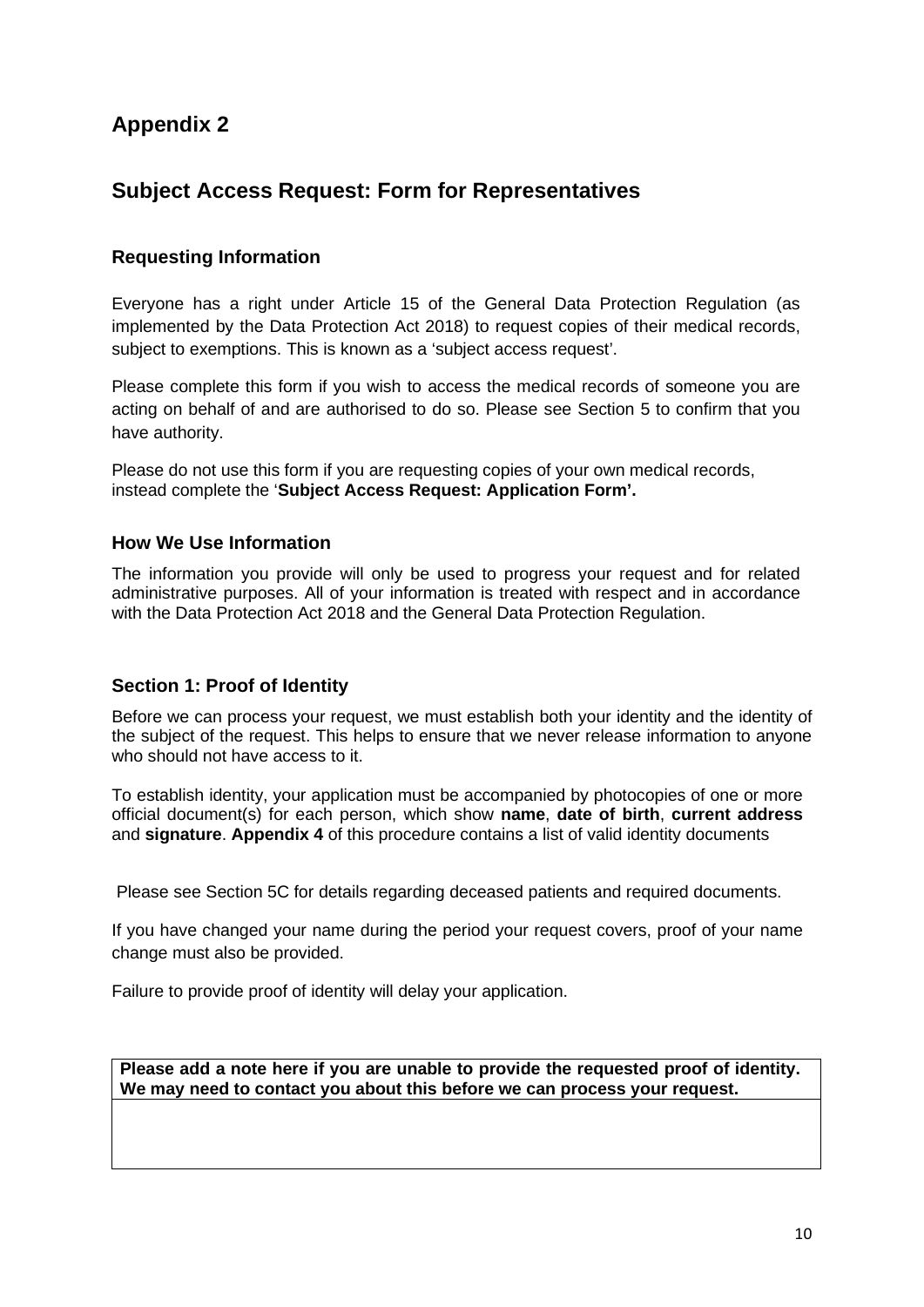# <span id="page-9-0"></span>**Subject Access Request: Form for Representatives**

### **Requesting Information**

Everyone has a right under Article 15 of the General Data Protection Regulation (as implemented by the Data Protection Act 2018) to request copies of their medical records, subject to exemptions. This is known as a 'subject access request'.

Please complete this form if you wish to access the medical records of someone you are acting on behalf of and are authorised to do so. Please see Section 5 to confirm that you have authority.

Please do not use this form if you are requesting copies of your own medical records, instead complete the '**Subject Access Request: Application Form'.** 

#### **How We Use Information**

The information you provide will only be used to progress your request and for related administrative purposes. All of your information is treated with respect and in accordance with the Data Protection Act 2018 and the General Data Protection Regulation.

#### **Section 1: Proof of Identity**

Before we can process your request, we must establish both your identity and the identity of the subject of the request. This helps to ensure that we never release information to anyone who should not have access to it.

To establish identity, your application must be accompanied by photocopies of one or more official document(s) for each person, which show **name**, **date of birth**, **current address** and **signature**. **Appendix 4** of this procedure contains a list of valid identity documents

Please see Section 5C for details regarding deceased patients and required documents.

If you have changed your name during the period your request covers, proof of your name change must also be provided.

Failure to provide proof of identity will delay your application.

**Please add a note here if you are unable to provide the requested proof of identity. We may need to contact you about this before we can process your request.**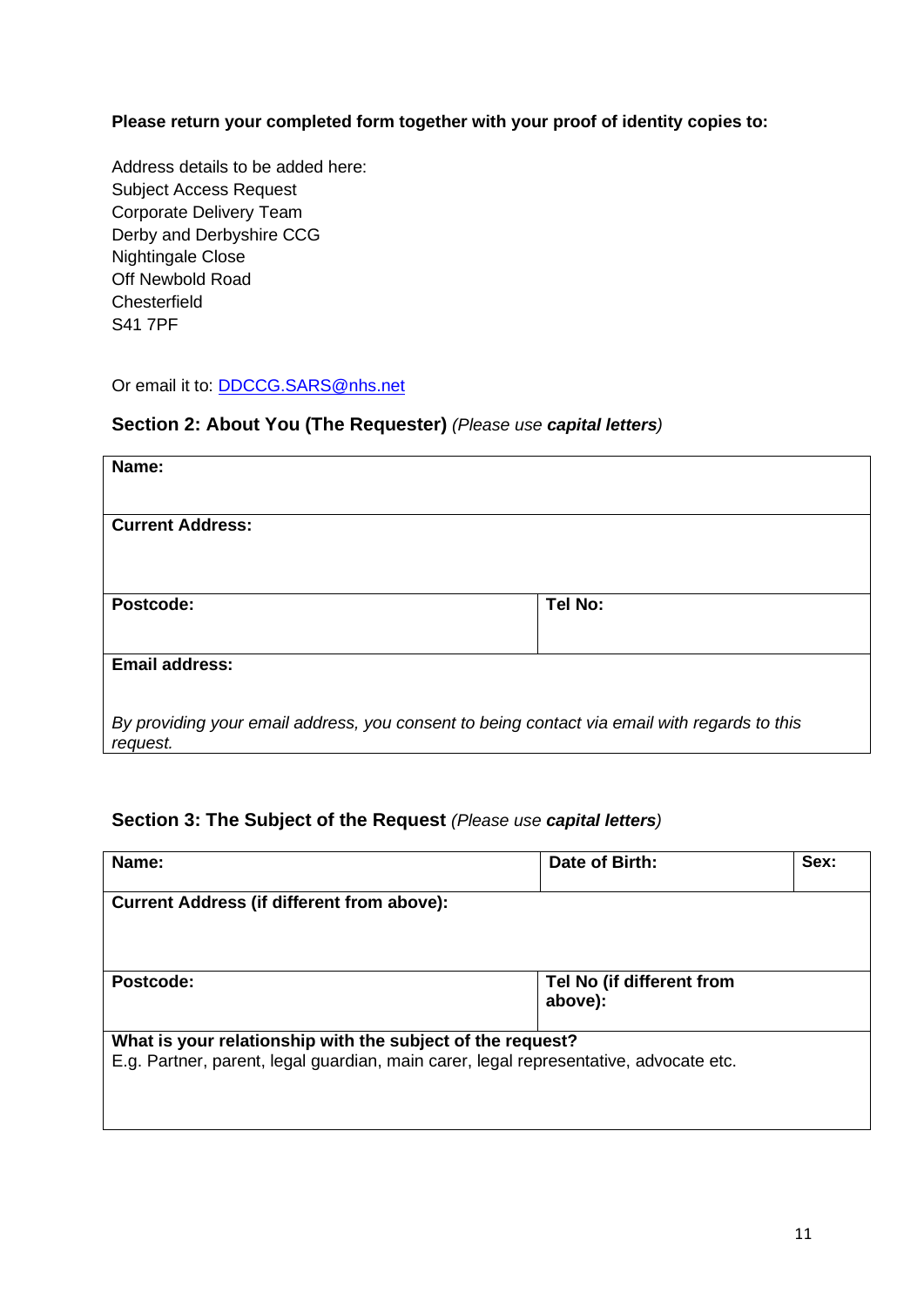**Please return your completed form together with your proof of identity copies to:**

Address details to be added here: Subject Access Request Corporate Delivery Team Derby and Derbyshire CCG Nightingale Close Off Newbold Road **Chesterfield** S41 7PF

Or email it to: [DDCCG.SARS@nhs.net](mailto:DDCCG.SARS@nhs.net)

### **Section 2: About You (The Requester)** *(Please use capital letters)*

| Name:                                                                                                    |         |
|----------------------------------------------------------------------------------------------------------|---------|
| <b>Current Address:</b>                                                                                  |         |
| Postcode:                                                                                                | Tel No: |
| <b>Email address:</b>                                                                                    |         |
| By providing your email address, you consent to being contact via email with regards to this<br>request. |         |

### **Section 3: The Subject of the Request** *(Please use capital letters)*

| Name:                                                      | Date of Birth:                                                                        | Sex: |
|------------------------------------------------------------|---------------------------------------------------------------------------------------|------|
| <b>Current Address (if different from above):</b>          |                                                                                       |      |
|                                                            |                                                                                       |      |
| Postcode:                                                  | Tel No (if different from<br>above):                                                  |      |
| What is your relationship with the subject of the request? | E.g. Partner, parent, legal guardian, main carer, legal representative, advocate etc. |      |
|                                                            |                                                                                       |      |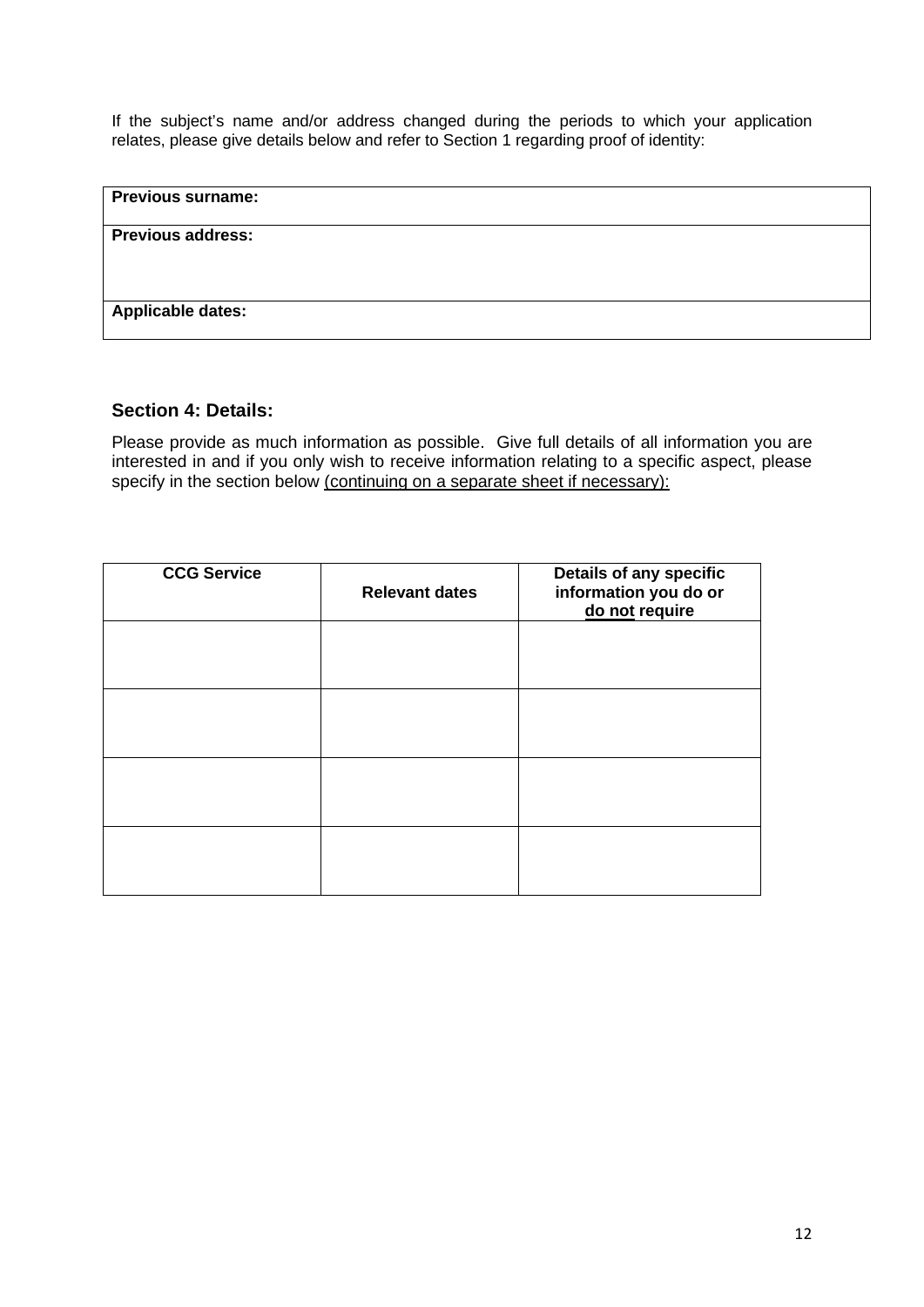If the subject's name and/or address changed during the periods to which your application relates, please give details below and refer to Section 1 regarding proof of identity:

| <b>Previous surname:</b> |  |  |
|--------------------------|--|--|
| <b>Previous address:</b> |  |  |
|                          |  |  |
| Applicable dates:        |  |  |

#### **Section 4: Details:**

Please provide as much information as possible. Give full details of all information you are interested in and if you only wish to receive information relating to a specific aspect, please specify in the section below (continuing on a separate sheet if necessary):

| <b>CCG Service</b> | <b>Relevant dates</b> | Details of any specific<br>information you do or<br>do not require |
|--------------------|-----------------------|--------------------------------------------------------------------|
|                    |                       |                                                                    |
|                    |                       |                                                                    |
|                    |                       |                                                                    |
|                    |                       |                                                                    |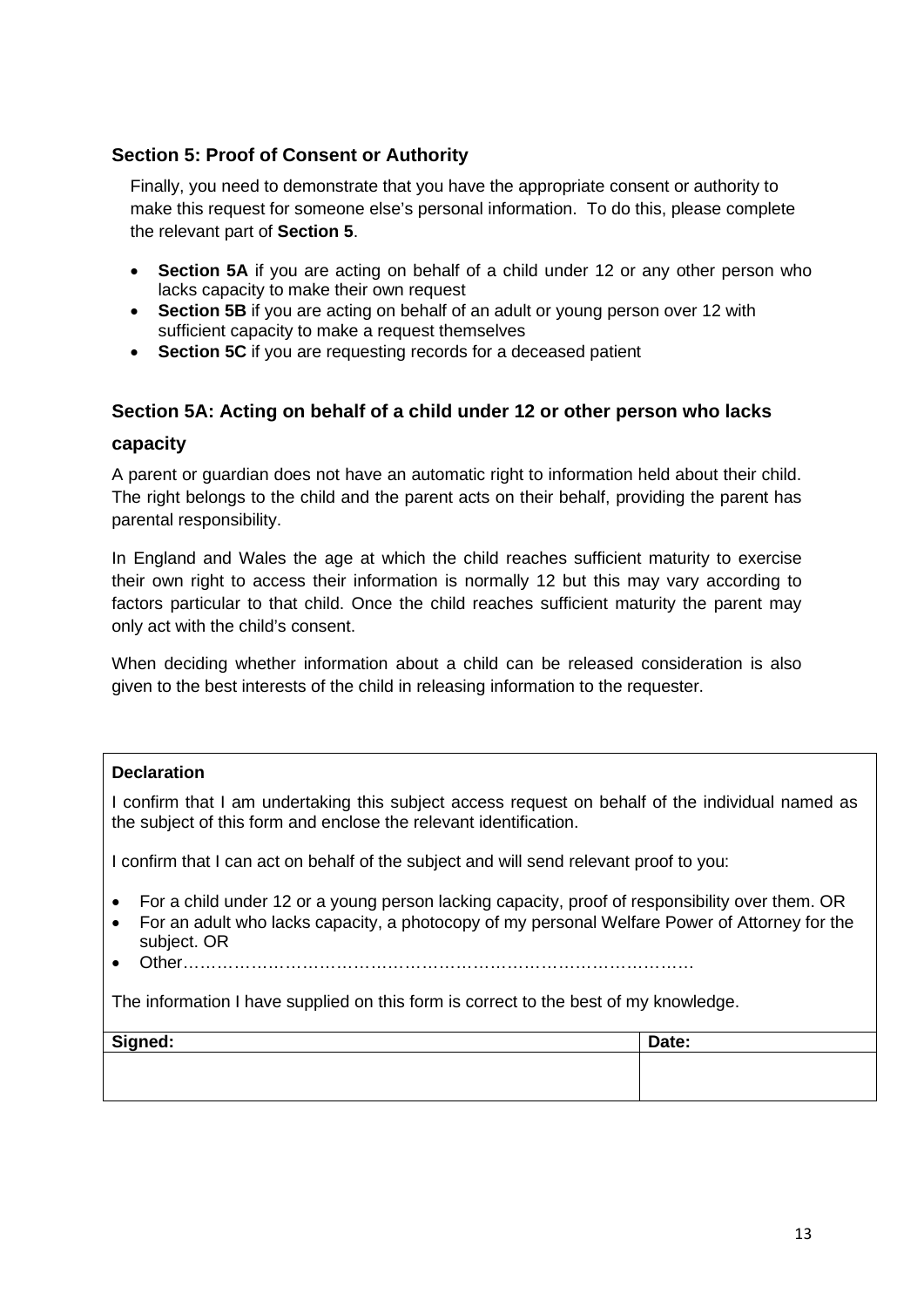### **Section 5: Proof of Consent or Authority**

Finally, you need to demonstrate that you have the appropriate consent or authority to make this request for someone else's personal information. To do this, please complete the relevant part of **Section 5**.

- **Section 5A** if you are acting on behalf of a child under 12 or any other person who lacks capacity to make their own request
- **Section 5B** if you are acting on behalf of an adult or young person over 12 with sufficient capacity to make a request themselves
- **Section 5C** if you are requesting records for a deceased patient

#### **Section 5A: Acting on behalf of a child under 12 or other person who lacks**

#### **capacity**

A parent or guardian does not have an automatic right to information held about their child. The right belongs to the child and the parent acts on their behalf, providing the parent has parental responsibility.

In England and Wales the age at which the child reaches sufficient maturity to exercise their own right to access their information is normally 12 but this may vary according to factors particular to that child. Once the child reaches sufficient maturity the parent may only act with the child's consent.

When deciding whether information about a child can be released consideration is also given to the best interests of the child in releasing information to the requester.

#### **Declaration**

I confirm that I am undertaking this subject access request on behalf of the individual named as the subject of this form and enclose the relevant identification.

I confirm that I can act on behalf of the subject and will send relevant proof to you:

- For a child under 12 or a young person lacking capacity, proof of responsibility over them. OR
- For an adult who lacks capacity, a photocopy of my personal Welfare Power of Attorney for the subject. OR
- Other methods in the contract of the contract of the contract of the contract of the contract of the contract of the contract of the contract of the contract of the contract of the contract of the contract of the contract

The information I have supplied on this form is correct to the best of my knowledge.

| Signed: | Date: |
|---------|-------|
|         |       |
|         |       |
|         |       |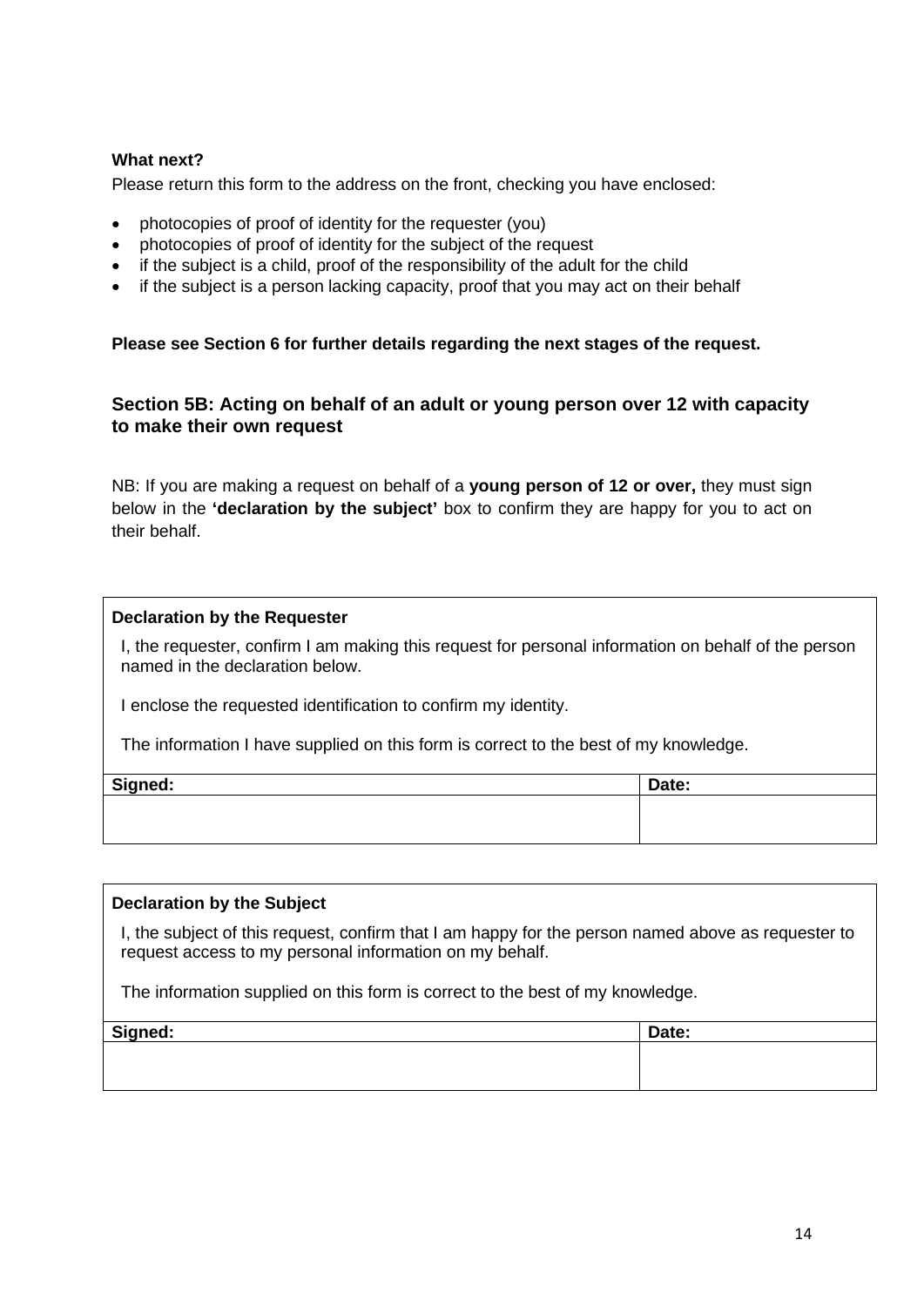#### **What next?**

Please return this form to the address on the front, checking you have enclosed:

- photocopies of proof of identity for the requester (you)
- photocopies of proof of identity for the subject of the request
- if the subject is a child, proof of the responsibility of the adult for the child
- if the subject is a person lacking capacity, proof that you may act on their behalf

#### **Please see Section 6 for further details regarding the next stages of the request.**

#### **Section 5B: Acting on behalf of an adult or young person over 12 with capacity to make their own request**

NB: If you are making a request on behalf of a **young person of 12 or over,** they must sign below in the **'declaration by the subject'** box to confirm they are happy for you to act on their behalf.

#### **Declaration by the Requester**

I, the requester, confirm I am making this request for personal information on behalf of the person named in the declaration below.

I enclose the requested identification to confirm my identity.

The information I have supplied on this form is correct to the best of my knowledge.

| Signed: | Date: |
|---------|-------|
|         |       |
|         |       |

#### **Declaration by the Subject**

I, the subject of this request, confirm that I am happy for the person named above as requester to request access to my personal information on my behalf.

The information supplied on this form is correct to the best of my knowledge.

| Signed: | Date: |
|---------|-------|
|         |       |
|         |       |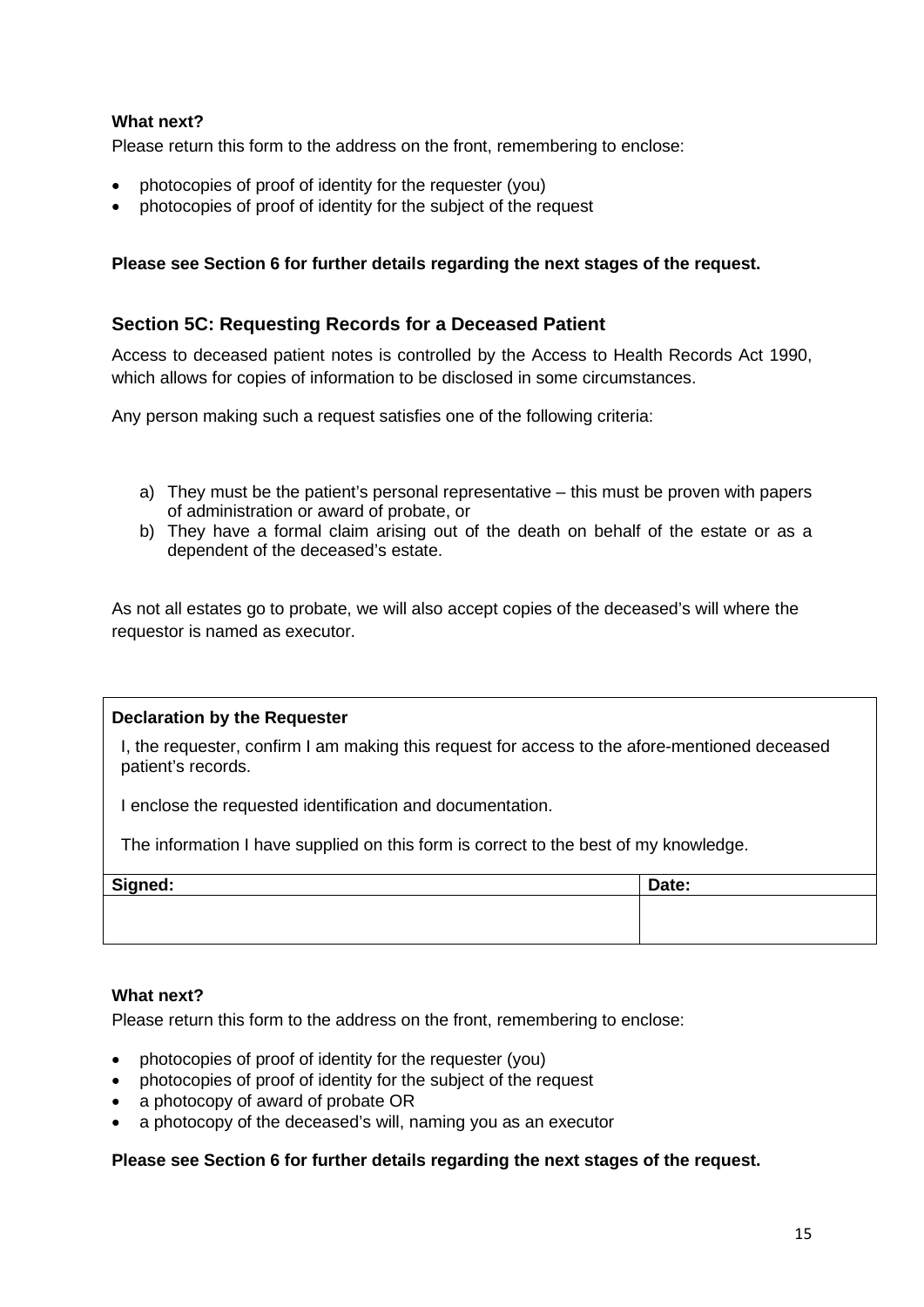#### **What next?**

Please return this form to the address on the front, remembering to enclose:

- photocopies of proof of identity for the requester (you)
- photocopies of proof of identity for the subject of the request

#### **Please see Section 6 for further details regarding the next stages of the request.**

#### **Section 5C: Requesting Records for a Deceased Patient**

Access to deceased patient notes is controlled by the Access to Health Records Act 1990, which allows for copies of information to be disclosed in some circumstances.

Any person making such a request satisfies one of the following criteria:

- a) They must be the patient's personal representative this must be proven with papers of administration or award of probate, or
- b) They have a formal claim arising out of the death on behalf of the estate or as a dependent of the deceased's estate.

As not all estates go to probate, we will also accept copies of the deceased's will where the requestor is named as executor.

#### **Declaration by the Requester**

I, the requester, confirm I am making this request for access to the afore-mentioned deceased patient's records.

I enclose the requested identification and documentation.

The information I have supplied on this form is correct to the best of my knowledge.

| Signed: | Date: |
|---------|-------|
|         |       |
|         |       |

#### **What next?**

Please return this form to the address on the front, remembering to enclose:

- photocopies of proof of identity for the requester (you)
- photocopies of proof of identity for the subject of the request
- a photocopy of award of probate OR
- a photocopy of the deceased's will, naming you as an executor

#### **Please see Section 6 for further details regarding the next stages of the request.**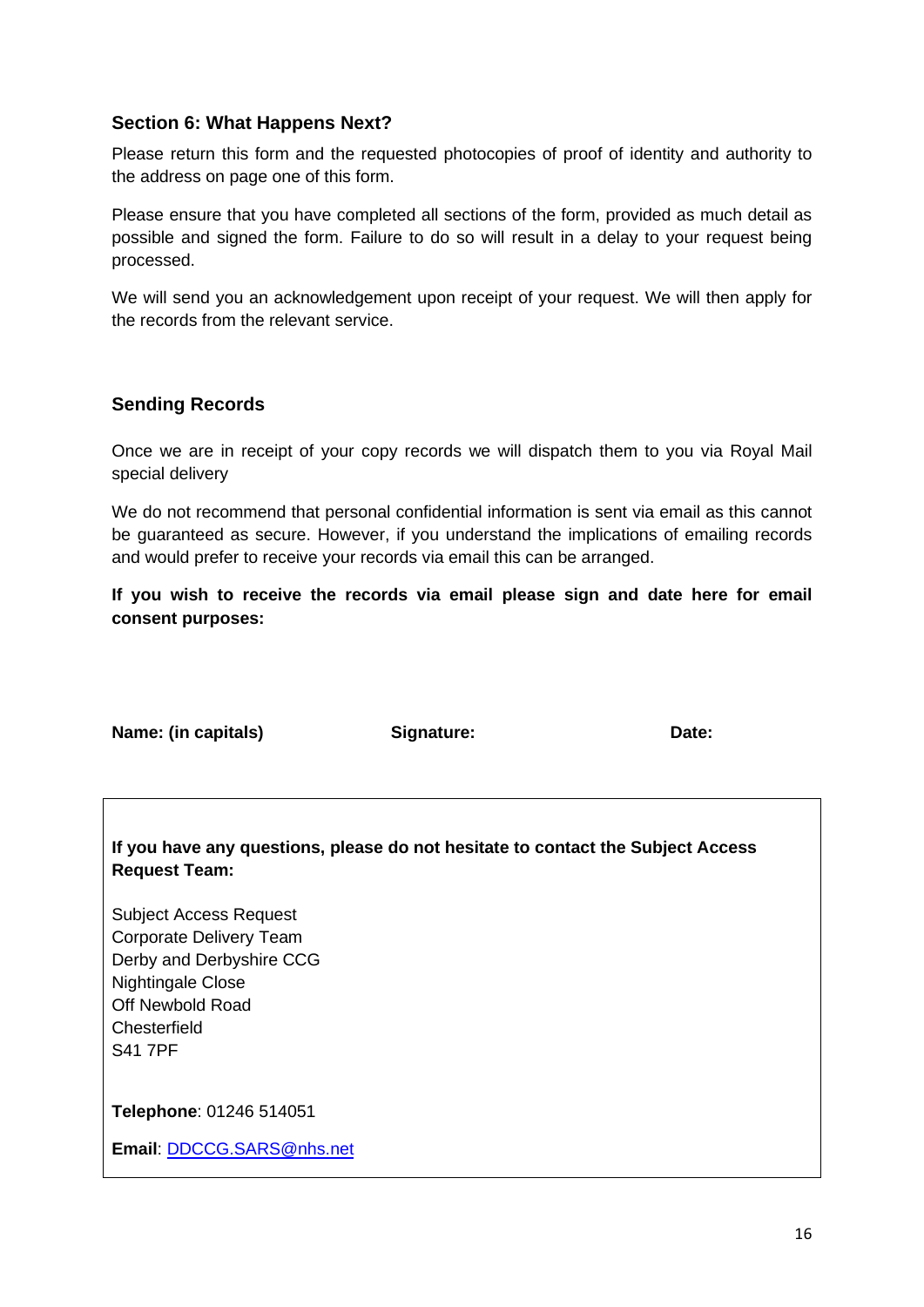#### **Section 6: What Happens Next?**

Please return this form and the requested photocopies of proof of identity and authority to the address on page one of this form.

Please ensure that you have completed all sections of the form, provided as much detail as possible and signed the form. Failure to do so will result in a delay to your request being processed.

We will send you an acknowledgement upon receipt of your request. We will then apply for the records from the relevant service.

#### **Sending Records**

Once we are in receipt of your copy records we will dispatch them to you via Royal Mail special delivery

We do not recommend that personal confidential information is sent via email as this cannot be guaranteed as secure. However, if you understand the implications of emailing records and would prefer to receive your records via email this can be arranged.

**If you wish to receive the records via email please sign and date here for email consent purposes:**

**Name: (in capitals) <b>Signature: Date: Date: Date:** 

**If you have any questions, please do not hesitate to contact the Subject Access Request Team:**

Subject Access Request Corporate Delivery Team Derby and Derbyshire CCG Nightingale Close Off Newbold Road **Chesterfield** S41 7PF

**Telephone**: 01246 514051

**Email**: [DDCCG.SARS@nhs.net](mailto:DDCCG.SARS@nhs.net)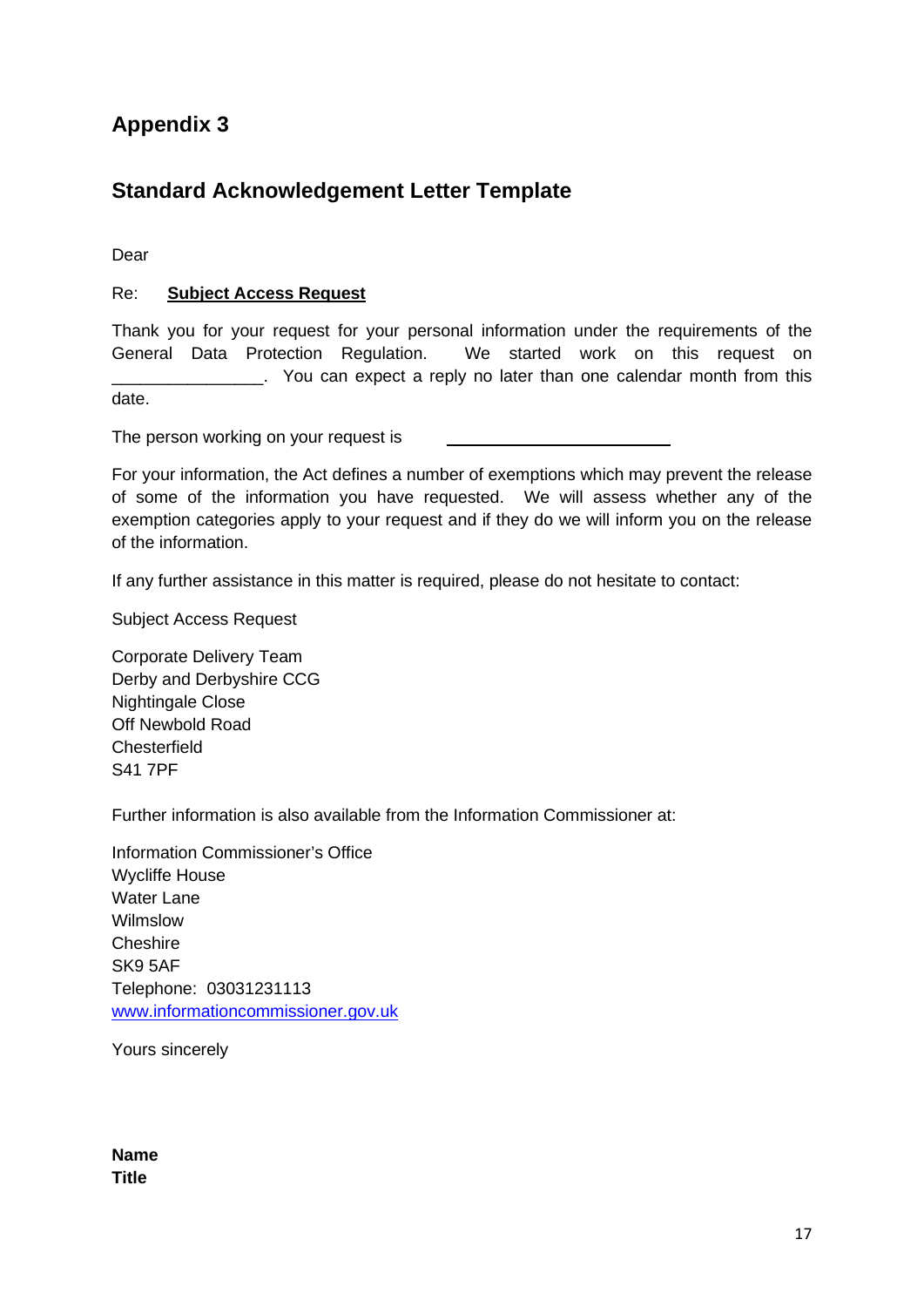# <span id="page-16-0"></span>**Standard Acknowledgement Letter Template**

Dear

#### Re: **Subject Access Request**

Thank you for your request for your personal information under the requirements of the General Data Protection Regulation. We started work on this request on . You can expect a reply no later than one calendar month from this date.

The person working on your request is

For your information, the Act defines a number of exemptions which may prevent the release of some of the information you have requested. We will assess whether any of the exemption categories apply to your request and if they do we will inform you on the release of the information.

If any further assistance in this matter is required, please do not hesitate to contact:

Subject Access Request

Corporate Delivery Team Derby and Derbyshire CCG Nightingale Close Off Newbold Road **Chesterfield** S41 7PF

Further information is also available from the Information Commissioner at:

Information Commissioner's Office Wycliffe House Water Lane Wilmslow **Cheshire** SK9 5AF Telephone: 03031231113 [www.informationcommissioner.gov.uk](http://www.informationcommissioner.gov.uk/)

Yours sincerely

**Name Title**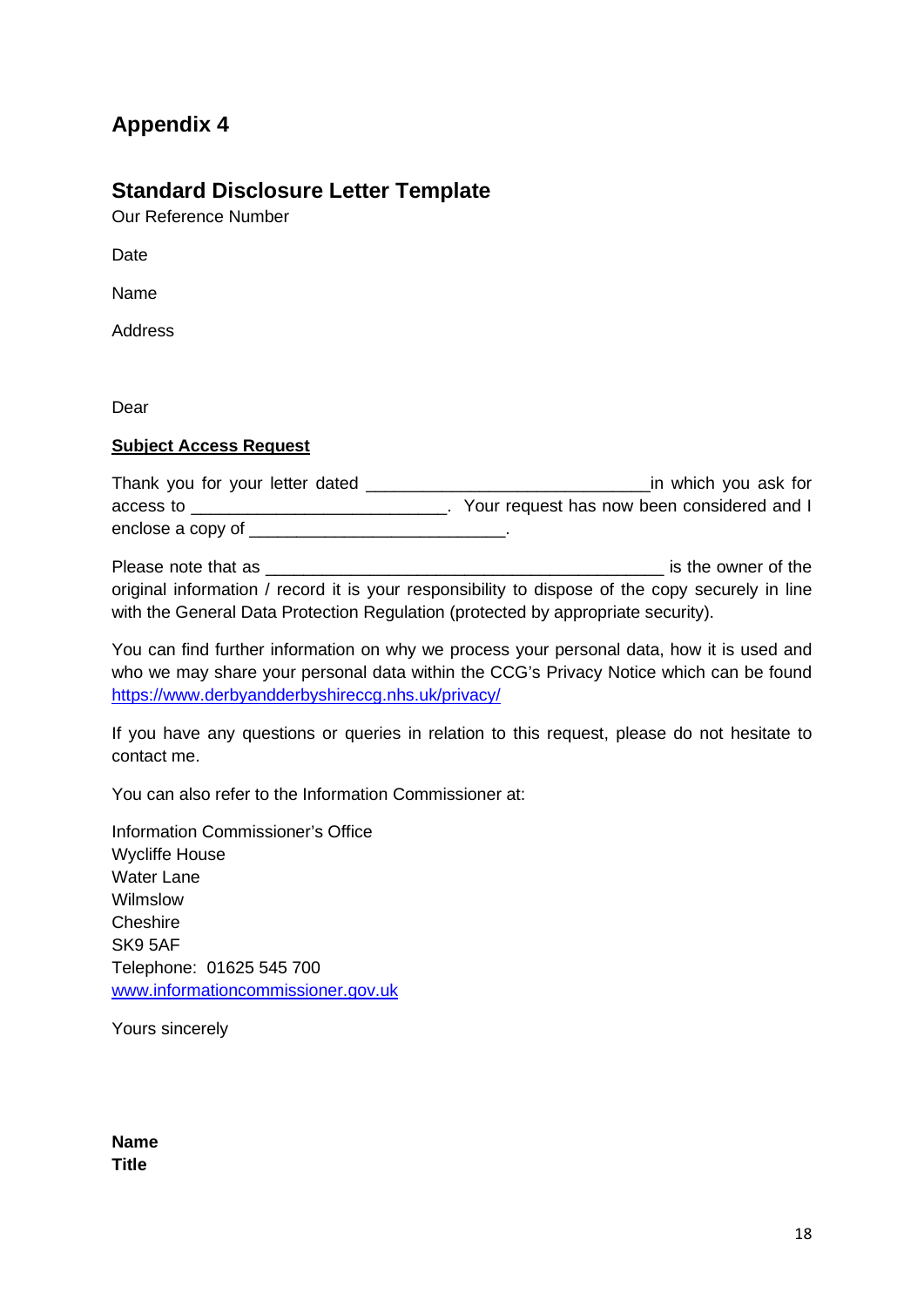# <span id="page-17-0"></span>**Standard Disclosure Letter Template**

Our Reference Number

**Date** 

Name

Address

Dear

#### **Subject Access Request**

| Thank you for your letter dated | in which you ask for                       |
|---------------------------------|--------------------------------------------|
| access to                       | Your request has now been considered and I |
| enclose a copy of               |                                            |

Please note that as \_\_\_\_\_\_\_\_\_\_\_\_\_\_\_\_\_\_\_\_\_\_\_\_\_\_\_\_\_\_\_\_\_\_\_\_\_\_\_\_\_\_ is the owner of the original information / record it is your responsibility to dispose of the copy securely in line with the General Data Protection Regulation (protected by appropriate security).

You can find further information on why we process your personal data, how it is used and who we may share your personal data within the CCG's Privacy Notice which can be found <https://www.derbyandderbyshireccg.nhs.uk/privacy/>

If you have any questions or queries in relation to this request, please do not hesitate to contact me.

You can also refer to the Information Commissioner at:

Information Commissioner's Office Wycliffe House Water Lane Wilmslow **Cheshire** SK9 5AF Telephone: 01625 545 700 [www.informationcommissioner.gov.uk](http://www.informationcommissioner.gov.uk/)

Yours sincerely

**Name Title**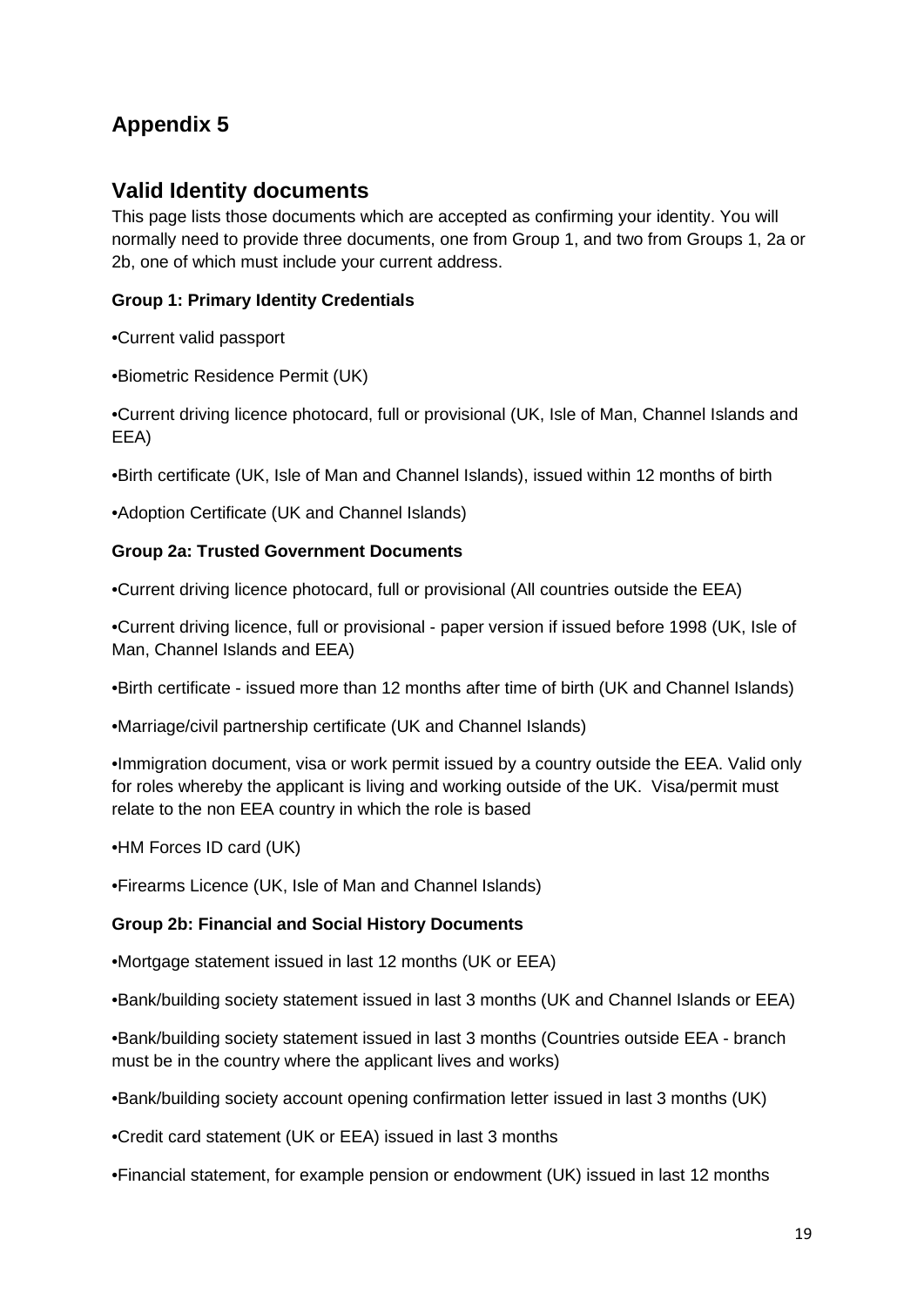## <span id="page-18-0"></span>**Valid Identity documents**

This page lists those documents which are accepted as confirming your identity. You will normally need to provide three documents, one from Group 1, and two from Groups 1, 2a or 2b, one of which must include your current address.

### **Group 1: Primary Identity Credentials**

•Current valid passport

•Biometric Residence Permit (UK)

•Current driving licence photocard, full or provisional (UK, Isle of Man, Channel Islands and EEA)

•Birth certificate (UK, Isle of Man and Channel Islands), issued within 12 months of birth

•Adoption Certificate (UK and Channel Islands)

#### **Group 2a: Trusted Government Documents**

•Current driving licence photocard, full or provisional (All countries outside the EEA)

•Current driving licence, full or provisional - paper version if issued before 1998 (UK, Isle of Man, Channel Islands and EEA)

•Birth certificate - issued more than 12 months after time of birth (UK and Channel Islands)

•Marriage/civil partnership certificate (UK and Channel Islands)

•Immigration document, visa or work permit issued by a country outside the EEA. Valid only for roles whereby the applicant is living and working outside of the UK. Visa/permit must relate to the non EEA country in which the role is based

•HM Forces ID card (UK)

•Firearms Licence (UK, Isle of Man and Channel Islands)

#### **Group 2b: Financial and Social History Documents**

•Mortgage statement issued in last 12 months (UK or EEA)

•Bank/building society statement issued in last 3 months (UK and Channel Islands or EEA)

•Bank/building society statement issued in last 3 months (Countries outside EEA - branch must be in the country where the applicant lives and works)

•Bank/building society account opening confirmation letter issued in last 3 months (UK)

•Credit card statement (UK or EEA) issued in last 3 months

•Financial statement, for example pension or endowment (UK) issued in last 12 months